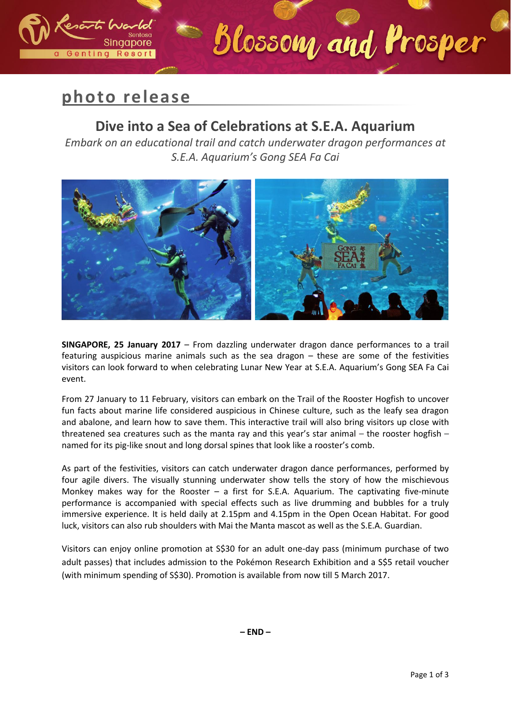

Singapore

Genting Resort

### **Dive into a Sea of Celebrations at S.E.A. Aquarium**

Blossom, and Prosper

*Embark on an educational trail and catch underwater dragon performances at S.E.A. Aquarium's Gong SEA Fa Cai*



**SINGAPORE, 25 January 2017** – From dazzling underwater dragon dance performances to a trail featuring auspicious marine animals such as the sea dragon – these are some of the festivities visitors can look forward to when celebrating Lunar New Year at S.E.A. Aquarium's Gong SEA Fa Cai event.

From 27 January to 11 February, visitors can embark on the Trail of the Rooster Hogfish to uncover fun facts about marine life considered auspicious in Chinese culture, such as the leafy sea dragon and abalone, and learn how to save them. This interactive trail will also bring visitors up close with threatened sea creatures such as the manta ray and this year's star animal – the rooster hogfish – named for its pig-like snout and long dorsal spines that look like a rooster's comb.

As part of the festivities, visitors can catch underwater dragon dance performances, performed by four agile divers. The visually stunning underwater show tells the story of how the mischievous Monkey makes way for the Rooster – a first for S.E.A. Aquarium. The captivating five-minute performance is accompanied with special effects such as live drumming and bubbles for a truly immersive experience. It is held daily at 2.15pm and 4.15pm in the Open Ocean Habitat. For good luck, visitors can also rub shoulders with Mai the Manta mascot as well as the S.E.A. Guardian.

Visitors can enjoy online promotion at S\$30 for an adult one-day pass (minimum purchase of two adult passes) that includes admission to the Pokémon Research Exhibition and a S\$5 retail voucher (with minimum spending of S\$30). Promotion is available from now till 5 March 2017.

**– END –**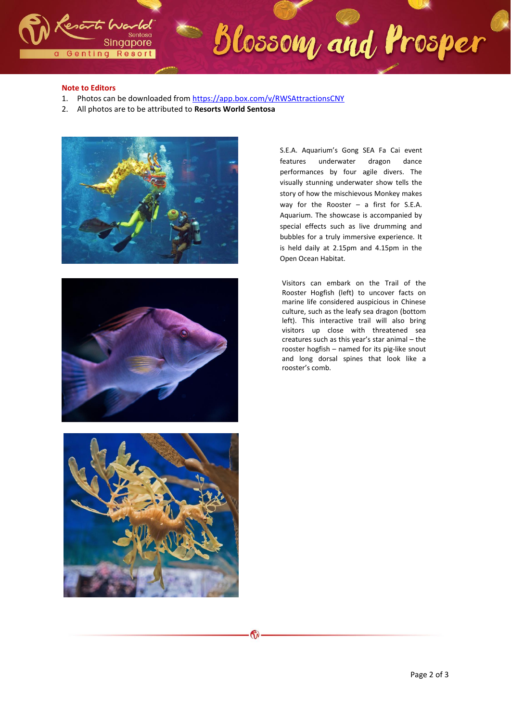

# Blossom and Prosper

#### **Note to Editors**

- 1. Photos can be downloaded fro[m https://app.box.com/v/R](https://app.box.com/v/MerryFishmas)WSAttractionsCNY
- 2. All photos are to be attributed to **Resorts World Sentosa**





S.E.A. Aquarium's Gong SEA Fa Cai event features underwater dragon dance performances by four agile divers. The visually stunning underwater show tells the story of how the mischievous Monkey makes way for the Rooster – a first for S.E.A. Aquarium. The showcase is accompanied by special effects such as live drumming and bubbles for a truly immersive experience. It is held daily at 2.15pm and 4.15pm in the Open Ocean Habitat.

Visitors can embark on the Trail of the Rooster Hogfish (left) to uncover facts on marine life considered auspicious in Chinese culture, such as the leafy sea dragon (bottom left). This interactive trail will also bring visitors up close with threatened sea creatures such as this year's star animal – the rooster hogfish – named for its pig-like snout and long dorsal spines that look like a rooster's comb.